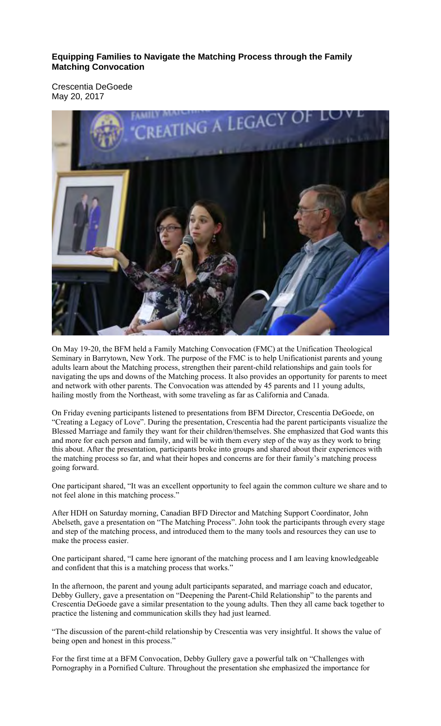**Equipping Families to Navigate the Matching Process through the Family Matching Convocation** 

Crescentia DeGoede May 20, 2017



On May 19-20, the BFM held a Family Matching Convocation (FMC) at the Unification Theological Seminary in Barrytown, New York. The purpose of the FMC is to help Unificationist parents and young adults learn about the Matching process, strengthen their parent-child relationships and gain tools for navigating the ups and downs of the Matching process. It also provides an opportunity for parents to meet and network with other parents. The Convocation was attended by 45 parents and 11 young adults, hailing mostly from the Northeast, with some traveling as far as California and Canada.

On Friday evening participants listened to presentations from BFM Director, Crescentia DeGoede, on "Creating a Legacy of Love". During the presentation, Crescentia had the parent participants visualize the Blessed Marriage and family they want for their children/themselves. She emphasized that God wants this and more for each person and family, and will be with them every step of the way as they work to bring this about. After the presentation, participants broke into groups and shared about their experiences with the matching process so far, and what their hopes and concerns are for their family's matching process going forward.

One participant shared, "It was an excellent opportunity to feel again the common culture we share and to not feel alone in this matching process."

After HDH on Saturday morning, Canadian BFD Director and Matching Support Coordinator, John Abelseth, gave a presentation on "The Matching Process". John took the participants through every stage and step of the matching process, and introduced them to the many tools and resources they can use to make the process easier.

One participant shared, "I came here ignorant of the matching process and I am leaving knowledgeable and confident that this is a matching process that works."

In the afternoon, the parent and young adult participants separated, and marriage coach and educator, Debby Gullery, gave a presentation on "Deepening the Parent-Child Relationship" to the parents and Crescentia DeGoede gave a similar presentation to the young adults. Then they all came back together to practice the listening and communication skills they had just learned.

"The discussion of the parent-child relationship by Crescentia was very insightful. It shows the value of being open and honest in this process."

For the first time at a BFM Convocation, Debby Gullery gave a powerful talk on "Challenges with Pornography in a Pornified Culture. Throughout the presentation she emphasized the importance for